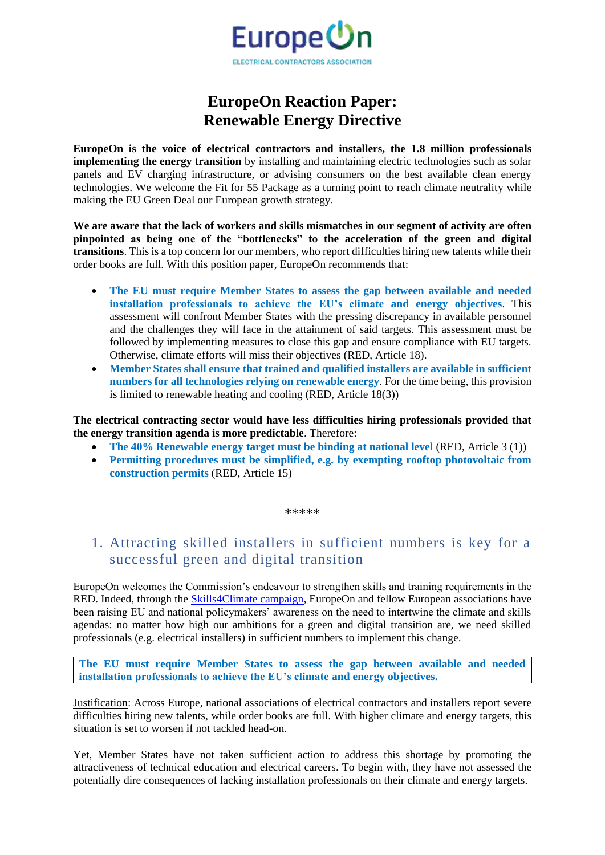

## **EuropeOn Reaction Paper: Renewable Energy Directive**

**EuropeOn is the voice of electrical contractors and installers, the 1.8 million professionals implementing the energy transition** by installing and maintaining electric technologies such as solar panels and EV charging infrastructure, or advising consumers on the best available clean energy technologies. We welcome the Fit for 55 Package as a turning point to reach climate neutrality while making the EU Green Deal our European growth strategy.

**We are aware that the lack of workers and skills mismatches in our segment of activity are often pinpointed as being one of the "bottlenecks" to the acceleration of the green and digital transitions**. This is a top concern for our members, who report difficulties hiring new talents while their order books are full. With this position paper, EuropeOn recommends that:

- **The EU must require Member States to assess the gap between available and needed installation professionals to achieve the EU's climate and energy objectives**. This assessment will confront Member States with the pressing discrepancy in available personnel and the challenges they will face in the attainment of said targets. This assessment must be followed by implementing measures to close this gap and ensure compliance with EU targets. Otherwise, climate efforts will miss their objectives (RED, Article 18).
- **Member States shall ensure that trained and qualified installers are available in sufficient numbers for all technologies relying on renewable energy**. For the time being, this provision is limited to renewable heating and cooling (RED, Article 18(3))

**The electrical contracting sector would have less difficulties hiring professionals provided that the energy transition agenda is more predictable**. Therefore:

- **The 40% Renewable energy target must be binding at national level (RED, Article 3 (1))**
- **Permitting procedures must be simplified, e.g. by exempting rooftop photovoltaic from construction permits** (RED, Article 15)

\*\*\*\*\*

## 1. Attracting skilled installers in sufficient numbers is key for a successful green and digital transition

EuropeOn welcomes the Commission's endeavour to strengthen skills and training requirements in the RED. Indeed, through the [Skills4Climate campaign,](https://europe-on.org/skills-4-climate/) EuropeOn and fellow European associations have been raising EU and national policymakers' awareness on the need to intertwine the climate and skills agendas: no matter how high our ambitions for a green and digital transition are, we need skilled professionals (e.g. electrical installers) in sufficient numbers to implement this change.

**The EU must require Member States to assess the gap between available and needed installation professionals to achieve the EU's climate and energy objectives.**

Justification: Across Europe, national associations of electrical contractors and installers report severe difficulties hiring new talents, while order books are full. With higher climate and energy targets, this situation is set to worsen if not tackled head-on.

Yet, Member States have not taken sufficient action to address this shortage by promoting the attractiveness of technical education and electrical careers. To begin with, they have not assessed the potentially dire consequences of lacking installation professionals on their climate and energy targets.